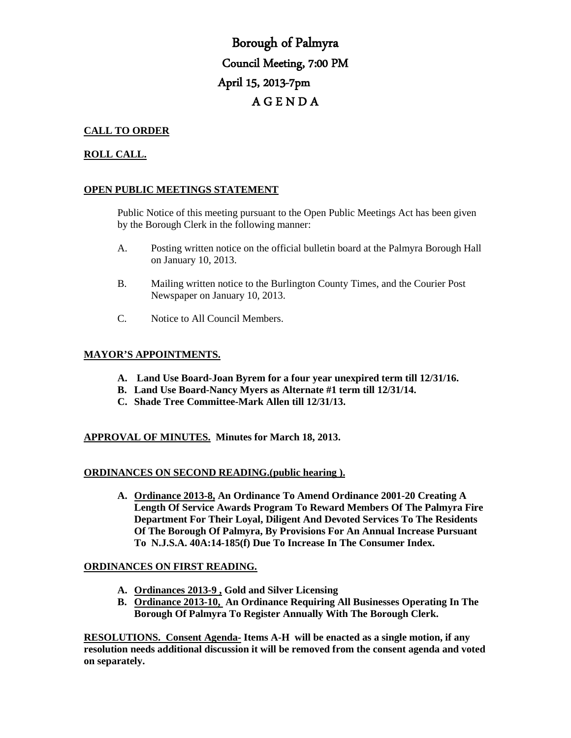# Borough of Palmyra Council Meeting, 7:00 PM April 15, 2013-7pm A G E N D A

# **CALL TO ORDER**

# **ROLL CALL.**

# **OPEN PUBLIC MEETINGS STATEMENT**

Public Notice of this meeting pursuant to the Open Public Meetings Act has been given by the Borough Clerk in the following manner:

- A. Posting written notice on the official bulletin board at the Palmyra Borough Hall on January 10, 2013.
- B. Mailing written notice to the Burlington County Times, and the Courier Post Newspaper on January 10, 2013.
- C. Notice to All Council Members.

# **MAYOR'S APPOINTMENTS.**

- **A. Land Use Board-Joan Byrem for a four year unexpired term till 12/31/16.**
- **B. Land Use Board-Nancy Myers as Alternate #1 term till 12/31/14.**
- **C. Shade Tree Committee-Mark Allen till 12/31/13.**

# **APPROVAL OF MINUTES. Minutes for March 18, 2013.**

#### **ORDINANCES ON SECOND READING.(public hearing ).**

**A. Ordinance 2013-8, An Ordinance To Amend Ordinance 2001-20 Creating A Length Of Service Awards Program To Reward Members Of The Palmyra Fire Department For Their Loyal, Diligent And Devoted Services To The Residents Of The Borough Of Palmyra, By Provisions For An Annual Increase Pursuant To N.J.S.A. 40A:14-185(f) Due To Increase In The Consumer Index.** 

#### **ORDINANCES ON FIRST READING.**

- **A. Ordinances 2013-9 , Gold and Silver Licensing**
- **B. Ordinance 2013-10, An Ordinance Requiring All Businesses Operating In The Borough Of Palmyra To Register Annually With The Borough Clerk.**

**RESOLUTIONS. Consent Agenda- Items A-H will be enacted as a single motion, if any resolution needs additional discussion it will be removed from the consent agenda and voted on separately.**